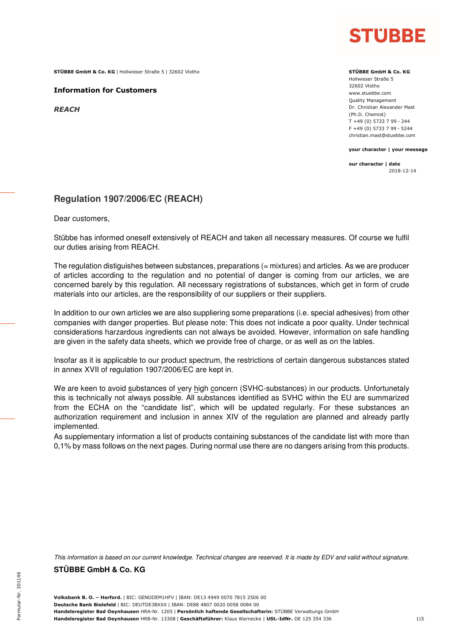

**STÜBBE GmbH & Co. KG** | Hollwieser Straße 5 | 32602 Vlotho **STÜBBE STÜBBE GmbH & Co. KG STÜBBE GmbH & Co. KG** 

**Information for Customers**

*REACH*

Hollwieser Straße 5 32602 Vlotho www.stuebbe.com Quality Management Dr. Christian Alexander Mast (Ph.D. Chemist) T +49 (0) 5733 7 99 - 244 F +49 (0) 5733 7 99 - 5244 christian.mast@stuebbe.com

**your character | your message**

**our character | date**  2018-12-14

#### **Regulation 1907/2006/EC (REACH)**

Dear customers,

Stübbe has informed oneself extensively of REACH and taken all necessary measures. Of course we fulfil our duties arising from REACH.

The regulation distiguishes between substances, preparations (= mixtures) and articles. As we are producer of articles according to the regulation and no potential of danger is coming from our articles, we are concerned barely by this regulation. All necessary registrations of substances, which get in form of crude materials into our articles, are the responsibility of our suppliers or their suppliers.

In addition to our own articles we are also suppliering some preparations (i.e. special adhesives) from other companies with danger properties. But please note: This does not indicate a poor quality. Under technical considerations harzardous ingredients can not always be avoided. However, information on safe handling are given in the safety data sheets, which we provide free of charge, or as well as on the lables.

Insofar as it is applicable to our product spectrum, the restrictions of certain dangerous substances stated in annex XVII of regulation 1907/2006/EC are kept in.

We are keen to avoid substances of very high concern (SVHC-substances) in our products. Unfortunetaly this is technically not always possible. All substances identified as SVHC within the EU are summarized from the ECHA on the "candidate list", which will be updated regularly. For these substances an authorization requirement and inclusion in annex XIV of the regulation are planned and already partly implemented.

As supplementary information a list of products containing substances of the candidate list with more than 0,1% by mass follows on the next pages. During normal use there are no dangers arising from this products.

This information is based on our current knowledge. Technical changes are reserved. It is made by EDV and valid without signature.

**STÜBBE GmbH & Co. KG**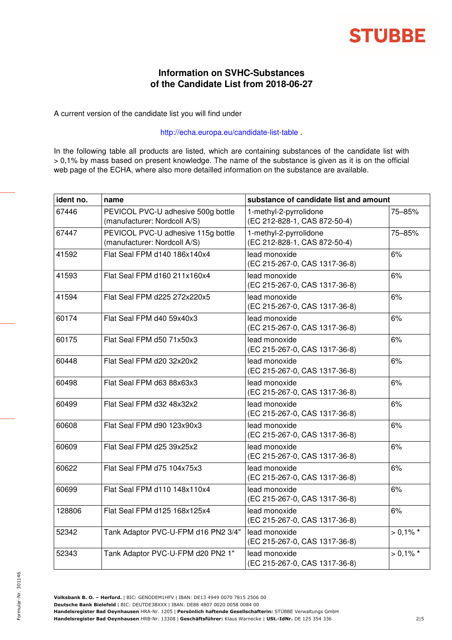

### **Information on SVHC-Substances of the Candidate List from 2018-06-27**

A current version of the candidate list you will find under

#### http://echa.europa.eu/candidate-list-table .

In the following table all products are listed, which are containing substances of the candidate list with > 0,1% by mass based on present knowledge. The name of the substance is given as it is on the official web page of the ECHA, where also more detailled information on the substance are available.

| ident no. | name                                                               | substance of candidate list and amount                 |             |
|-----------|--------------------------------------------------------------------|--------------------------------------------------------|-------------|
| 67446     | PEVICOL PVC-U adhesive 500g bottle<br>(manufacturer: Nordcoll A/S) | 1-methyl-2-pyrrolidone<br>(EC 212-828-1, CAS 872-50-4) | 75-85%      |
| 67447     | PEVICOL PVC-U adhesive 115g bottle<br>(manufacturer: Nordcoll A/S) | 1-methyl-2-pyrrolidone<br>(EC 212-828-1, CAS 872-50-4) | 75-85%      |
| 41592     | Flat Seal FPM d140 186x140x4                                       | lead monoxide<br>(EC 215-267-0, CAS 1317-36-8)         | 6%          |
| 41593     | Flat Seal FPM d160 211x160x4                                       | lead monoxide<br>(EC 215-267-0, CAS 1317-36-8)         | 6%          |
| 41594     | Flat Seal FPM d225 272x220x5                                       | lead monoxide<br>(EC 215-267-0, CAS 1317-36-8)         | 6%          |
| 60174     | Flat Seal FPM d40 59x40x3                                          | lead monoxide<br>(EC 215-267-0, CAS 1317-36-8)         | 6%          |
| 60175     | Flat Seal FPM d50 71x50x3                                          | lead monoxide<br>(EC 215-267-0, CAS 1317-36-8)         | 6%          |
| 60448     | Flat Seal FPM d20 32x20x2                                          | lead monoxide<br>(EC 215-267-0, CAS 1317-36-8)         | 6%          |
| 60498     | Flat Seal FPM d63 88x63x3                                          | lead monoxide<br>(EC 215-267-0, CAS 1317-36-8)         | 6%          |
| 60499     | Flat Seal FPM d32 48x32x2                                          | lead monoxide<br>(EC 215-267-0, CAS 1317-36-8)         | 6%          |
| 60608     | Flat Seal FPM d90 123x90x3                                         | lead monoxide<br>(EC 215-267-0, CAS 1317-36-8)         | 6%          |
| 60609     | Flat Seal FPM d25 39x25x2                                          | lead monoxide<br>(EC 215-267-0, CAS 1317-36-8)         | 6%          |
| 60622     | Flat Seal FPM d75 104x75x3                                         | lead monoxide<br>(EC 215-267-0, CAS 1317-36-8)         | 6%          |
| 60699     | Flat Seal FPM d110 148x110x4                                       | lead monoxide<br>(EC 215-267-0, CAS 1317-36-8)         | 6%          |
| 128806    | Flat Seal FPM d125 168x125x4                                       | lead monoxide<br>(EC 215-267-0, CAS 1317-36-8)         | 6%          |
| 52342     | Tank Adaptor PVC-U-FPM d16 PN2 3/4"                                | lead monoxide<br>(EC 215-267-0, CAS 1317-36-8)         | $> 0.1\%$ * |
| 52343     | Tank Adaptor PVC-U-FPM d20 PN2 1"                                  | lead monoxide<br>(EC 215-267-0, CAS 1317-36-8)         | $> 0.1\%$ * |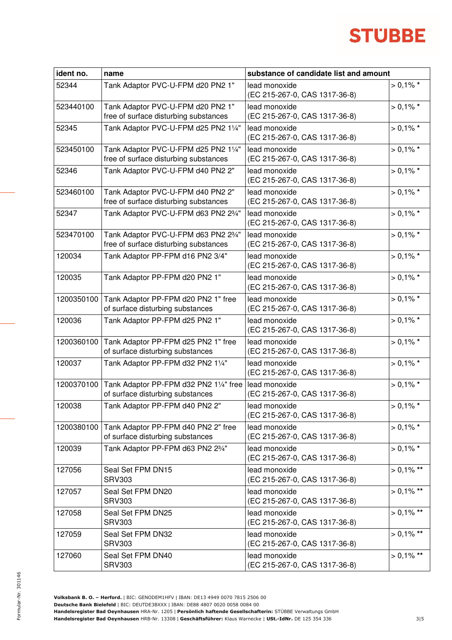# **STUBBE**

| ident no.  | name                                                                          | substance of candidate list and amount         |              |
|------------|-------------------------------------------------------------------------------|------------------------------------------------|--------------|
| 52344      | Tank Adaptor PVC-U-FPM d20 PN2 1"                                             | lead monoxide<br>(EC 215-267-0, CAS 1317-36-8) | $> 0.1\%$ *  |
| 523440100  | Tank Adaptor PVC-U-FPM d20 PN2 1"<br>free of surface disturbing substances    | lead monoxide<br>(EC 215-267-0, CAS 1317-36-8) | $> 0.1\%$ *  |
| 52345      | Tank Adaptor PVC-U-FPM d25 PN2 11/4"                                          | lead monoxide<br>(EC 215-267-0, CAS 1317-36-8) | $> 0.1\%$ *  |
| 523450100  | Tank Adaptor PVC-U-FPM d25 PN2 11/4"<br>free of surface disturbing substances | lead monoxide<br>(EC 215-267-0, CAS 1317-36-8) | $> 0.1\%$ *  |
| 52346      | Tank Adaptor PVC-U-FPM d40 PN2 2"                                             | lead monoxide<br>(EC 215-267-0, CAS 1317-36-8) | $> 0.1\%$ *  |
| 523460100  | Tank Adaptor PVC-U-FPM d40 PN2 2"<br>free of surface disturbing substances    | lead monoxide<br>(EC 215-267-0, CAS 1317-36-8) | $> 0.1\%$ *  |
| 52347      | Tank Adaptor PVC-U-FPM d63 PN2 23/4"                                          | lead monoxide<br>(EC 215-267-0, CAS 1317-36-8) | $> 0.1\%$ *  |
| 523470100  | Tank Adaptor PVC-U-FPM d63 PN2 23/4"<br>free of surface disturbing substances | lead monoxide<br>(EC 215-267-0, CAS 1317-36-8) | $> 0.1\%$ *  |
| 120034     | Tank Adaptor PP-FPM d16 PN2 3/4"                                              | lead monoxide<br>(EC 215-267-0, CAS 1317-36-8) | $> 0.1\%$ *  |
| 120035     | Tank Adaptor PP-FPM d20 PN2 1"                                                | lead monoxide<br>(EC 215-267-0, CAS 1317-36-8) | $> 0.1\%$ *  |
| 1200350100 | Tank Adaptor PP-FPM d20 PN2 1" free<br>of surface disturbing substances       | lead monoxide<br>(EC 215-267-0, CAS 1317-36-8) | $> 0.1\%$ *  |
| 120036     | Tank Adaptor PP-FPM d25 PN2 1"                                                | lead monoxide<br>(EC 215-267-0, CAS 1317-36-8) | $> 0.1\%$ *  |
| 1200360100 | Tank Adaptor PP-FPM d25 PN2 1" free<br>of surface disturbing substances       | lead monoxide<br>(EC 215-267-0, CAS 1317-36-8) | $> 0.1\%$ *  |
| 120037     | Tank Adaptor PP-FPM d32 PN2 11/4"                                             | lead monoxide<br>(EC 215-267-0, CAS 1317-36-8) | $> 0.1\%$ *  |
| 1200370100 | Tank Adaptor PP-FPM d32 PN2 11/4" free<br>of surface disturbing substances    | lead monoxide<br>(EC 215-267-0, CAS 1317-36-8) | $> 0.1\%$ *  |
| 120038     | Tank Adaptor PP-FPM d40 PN2 2"                                                | lead monoxide<br>(EC 215-267-0, CAS 1317-36-8) | $> 0.1\%$ *  |
| 1200380100 | Tank Adaptor PP-FPM d40 PN2 2" free<br>of surface disturbing substances       | lead monoxide<br>(EC 215-267-0, CAS 1317-36-8) | $> 0.1\%$ *  |
| 120039     | Tank Adaptor PP-FPM d63 PN2 23/4"                                             | lead monoxide<br>(EC 215-267-0, CAS 1317-36-8) | $> 0.1\%$ *  |
| 127056     | Seal Set FPM DN15<br><b>SRV303</b>                                            | lead monoxide<br>(EC 215-267-0, CAS 1317-36-8) | $> 0.1\%$ ** |
| 127057     | Seal Set FPM DN20<br><b>SRV303</b>                                            | lead monoxide<br>(EC 215-267-0, CAS 1317-36-8) | $> 0.1\%$ ** |
| 127058     | Seal Set FPM DN25<br><b>SRV303</b>                                            | lead monoxide<br>(EC 215-267-0, CAS 1317-36-8) | $> 0.1\%$ ** |
| 127059     | Seal Set FPM DN32<br><b>SRV303</b>                                            | lead monoxide<br>(EC 215-267-0, CAS 1317-36-8) | $> 0.1\%$ ** |
| 127060     | Seal Set FPM DN40<br><b>SRV303</b>                                            | lead monoxide<br>(EC 215-267-0, CAS 1317-36-8) | $> 0,1\%$ ** |

Formular-Nr. 301146

-Nr. 301146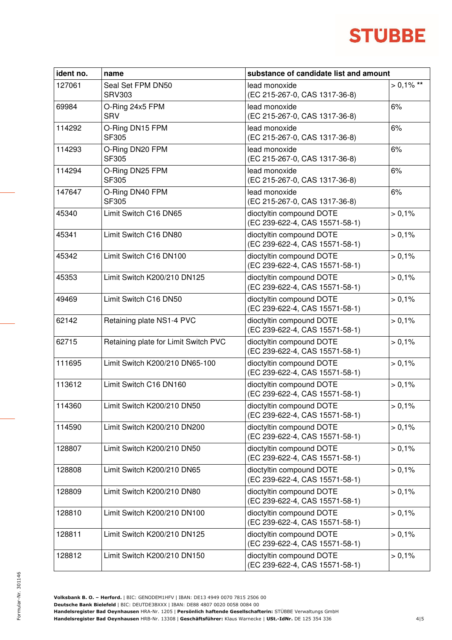# **STUBBE**

| ident no. | name                                 | substance of candidate list and amount                     |              |
|-----------|--------------------------------------|------------------------------------------------------------|--------------|
| 127061    | Seal Set FPM DN50<br><b>SRV303</b>   | lead monoxide<br>(EC 215-267-0, CAS 1317-36-8)             | $> 0.1\%$ ** |
| 69984     | O-Ring 24x5 FPM<br><b>SRV</b>        | lead monoxide<br>(EC 215-267-0, CAS 1317-36-8)             | 6%           |
| 114292    | O-Ring DN15 FPM<br>SF305             | lead monoxide<br>(EC 215-267-0, CAS 1317-36-8)             | 6%           |
| 114293    | O-Ring DN20 FPM<br>SF305             | lead monoxide<br>(EC 215-267-0, CAS 1317-36-8)             | 6%           |
| 114294    | O-Ring DN25 FPM<br>SF305             | lead monoxide<br>(EC 215-267-0, CAS 1317-36-8)             | 6%           |
| 147647    | O-Ring DN40 FPM<br>SF305             | lead monoxide<br>(EC 215-267-0, CAS 1317-36-8)             | 6%           |
| 45340     | Limit Switch C16 DN65                | dioctyltin compound DOTE<br>(EC 239-622-4, CAS 15571-58-1) | > 0,1%       |
| 45341     | Limit Switch C16 DN80                | dioctyltin compound DOTE<br>(EC 239-622-4, CAS 15571-58-1) | > 0,1%       |
| 45342     | Limit Switch C16 DN100               | dioctyltin compound DOTE<br>(EC 239-622-4, CAS 15571-58-1) | > 0,1%       |
| 45353     | Limit Switch K200/210 DN125          | dioctyltin compound DOTE<br>(EC 239-622-4, CAS 15571-58-1) | > 0,1%       |
| 49469     | Limit Switch C16 DN50                | dioctyltin compound DOTE<br>(EC 239-622-4, CAS 15571-58-1) | > 0,1%       |
| 62142     | Retaining plate NS1-4 PVC            | dioctyltin compound DOTE<br>(EC 239-622-4, CAS 15571-58-1) | > 0,1%       |
| 62715     | Retaining plate for Limit Switch PVC | dioctyltin compound DOTE<br>(EC 239-622-4, CAS 15571-58-1) | > 0,1%       |
| 111695    | Limit Switch K200/210 DN65-100       | dioctyltin compound DOTE<br>(EC 239-622-4, CAS 15571-58-1) | > 0,1%       |
| 113612    | Limit Switch C16 DN160               | dioctyltin compound DOTE<br>(EC 239-622-4, CAS 15571-58-1) | > 0,1%       |
| 114360    | Limit Switch K200/210 DN50           | dioctyltin compound DOTE<br>(EC 239-622-4, CAS 15571-58-1) | > 0,1%       |
| 114590    | Limit Switch K200/210 DN200          | dioctyltin compound DOTE<br>(EC 239-622-4, CAS 15571-58-1) | > 0,1%       |
| 128807    | Limit Switch K200/210 DN50           | dioctyltin compound DOTE<br>(EC 239-622-4, CAS 15571-58-1) | > 0,1%       |
| 128808    | Limit Switch K200/210 DN65           | dioctyltin compound DOTE<br>(EC 239-622-4, CAS 15571-58-1) | > 0,1%       |
| 128809    | Limit Switch K200/210 DN80           | dioctyltin compound DOTE<br>(EC 239-622-4, CAS 15571-58-1) | > 0,1%       |
| 128810    | Limit Switch K200/210 DN100          | dioctyltin compound DOTE<br>(EC 239-622-4, CAS 15571-58-1) | > 0,1%       |
| 128811    | Limit Switch K200/210 DN125          | dioctyltin compound DOTE<br>(EC 239-622-4, CAS 15571-58-1) | > 0,1%       |
| 128812    | Limit Switch K200/210 DN150          | dioctyltin compound DOTE<br>(EC 239-622-4, CAS 15571-58-1) | > 0,1%       |